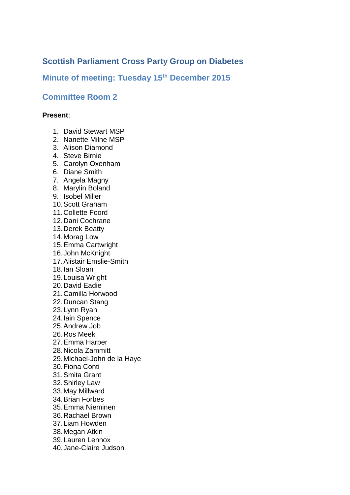# **Scottish Parliament Cross Party Group on Diabetes**

# **Minute of meeting: Tuesday 15th December 2015**

# **Committee Room 2**

### **Present**:

- 1. David Stewart MSP
- 2. Nanette Milne MSP
- 3. Alison Diamond
- 4. Steve Birnie
- 5. Carolyn Oxenham
- 6. Diane Smith
- 7. Angela Magny
- 8. Marylin Boland
- 9. Isobel Miller
- 10.Scott Graham
- 11.Collette Foord
- 12.Dani Cochrane
- 13.Derek Beatty
- 14.Morag Low
- 15.Emma Cartwright
- 16.John McKnight
- 17.Alistair Emslie-Smith
- 18.Ian Sloan
- 19.Louisa Wright
- 20.David Eadie
- 21.Camilla Horwood
- 22.Duncan Stang
- 23.Lynn Ryan
- 24.Iain Spence
- 25.Andrew Job
- 26.Ros Meek
- 27.Emma Harper
- 28.Nicola Zammitt
- 29.Michael-John de la Haye
- 30.Fiona Conti
- 31.Smita Grant
- 32.Shirley Law
- 33.May Millward
- 34.Brian Forbes
- 35.Emma Nieminen
- 36.Rachael Brown
- 37.Liam Howden
- 38.Megan Atkin
- 39.Lauren Lennox
- 40.Jane-Claire Judson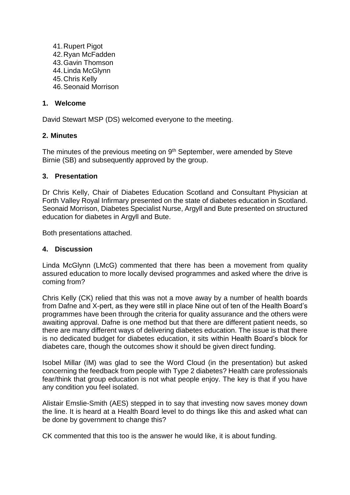41.Rupert Pigot 42.Ryan McFadden 43.Gavin Thomson 44.Linda McGlynn 45.Chris Kelly 46.Seonaid Morrison

### **1. Welcome**

David Stewart MSP (DS) welcomed everyone to the meeting.

#### **2. Minutes**

The minutes of the previous meeting on 9<sup>th</sup> September, were amended by Steve Birnie (SB) and subsequently approved by the group.

#### **3. Presentation**

Dr Chris Kelly, Chair of Diabetes Education Scotland and Consultant Physician at Forth Valley Royal Infirmary presented on the state of diabetes education in Scotland. Seonaid Morrison, Diabetes Specialist Nurse, Argyll and Bute presented on structured education for diabetes in Argyll and Bute.

Both presentations attached.

#### **4. Discussion**

Linda McGlynn (LMcG) commented that there has been a movement from quality assured education to more locally devised programmes and asked where the drive is coming from?

Chris Kelly (CK) relied that this was not a move away by a number of health boards from Dafne and X-pert, as they were still in place Nine out of ten of the Health Board's programmes have been through the criteria for quality assurance and the others were awaiting approval. Dafne is one method but that there are different patient needs, so there are many different ways of delivering diabetes education. The issue is that there is no dedicated budget for diabetes education, it sits within Health Board's block for diabetes care, though the outcomes show it should be given direct funding.

Isobel Millar (IM) was glad to see the Word Cloud (in the presentation) but asked concerning the feedback from people with Type 2 diabetes? Health care professionals fear/think that group education is not what people enjoy. The key is that if you have any condition you feel isolated.

Alistair Emslie-Smith (AES) stepped in to say that investing now saves money down the line. It is heard at a Health Board level to do things like this and asked what can be done by government to change this?

CK commented that this too is the answer he would like, it is about funding.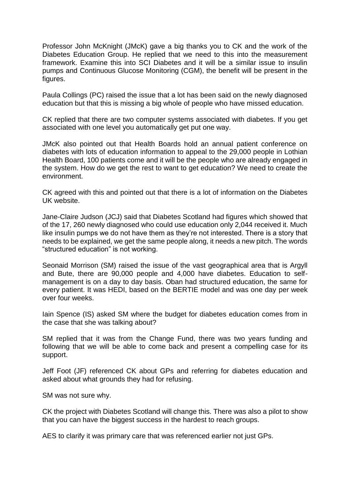Professor John McKnight (JMcK) gave a big thanks you to CK and the work of the Diabetes Education Group. He replied that we need to this into the measurement framework. Examine this into SCI Diabetes and it will be a similar issue to insulin pumps and Continuous Glucose Monitoring (CGM), the benefit will be present in the figures.

Paula Collings (PC) raised the issue that a lot has been said on the newly diagnosed education but that this is missing a big whole of people who have missed education.

CK replied that there are two computer systems associated with diabetes. If you get associated with one level you automatically get put one way.

JMcK also pointed out that Health Boards hold an annual patient conference on diabetes with lots of education information to appeal to the 29,000 people in Lothian Health Board, 100 patients come and it will be the people who are already engaged in the system. How do we get the rest to want to get education? We need to create the environment.

CK agreed with this and pointed out that there is a lot of information on the Diabetes UK website.

Jane-Claire Judson (JCJ) said that Diabetes Scotland had figures which showed that of the 17, 260 newly diagnosed who could use education only 2,044 received it. Much like insulin pumps we do not have them as they're not interested. There is a story that needs to be explained, we get the same people along, it needs a new pitch. The words "structured education" is not working.

Seonaid Morrison (SM) raised the issue of the vast geographical area that is Argyll and Bute, there are 90,000 people and 4,000 have diabetes. Education to selfmanagement is on a day to day basis. Oban had structured education, the same for every patient. It was HEDI, based on the BERTIE model and was one day per week over four weeks.

Iain Spence (IS) asked SM where the budget for diabetes education comes from in the case that she was talking about?

SM replied that it was from the Change Fund, there was two years funding and following that we will be able to come back and present a compelling case for its support.

Jeff Foot (JF) referenced CK about GPs and referring for diabetes education and asked about what grounds they had for refusing.

SM was not sure why.

CK the project with Diabetes Scotland will change this. There was also a pilot to show that you can have the biggest success in the hardest to reach groups.

AES to clarify it was primary care that was referenced earlier not just GPs.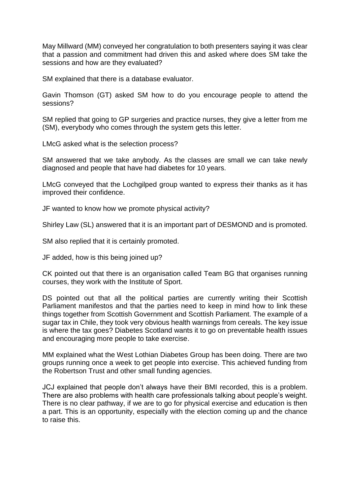May Millward (MM) conveyed her congratulation to both presenters saying it was clear that a passion and commitment had driven this and asked where does SM take the sessions and how are they evaluated?

SM explained that there is a database evaluator.

Gavin Thomson (GT) asked SM how to do you encourage people to attend the sessions?

SM replied that going to GP surgeries and practice nurses, they give a letter from me (SM), everybody who comes through the system gets this letter.

LMcG asked what is the selection process?

SM answered that we take anybody. As the classes are small we can take newly diagnosed and people that have had diabetes for 10 years.

LMcG conveyed that the Lochgilped group wanted to express their thanks as it has improved their confidence.

JF wanted to know how we promote physical activity?

Shirley Law (SL) answered that it is an important part of DESMOND and is promoted.

SM also replied that it is certainly promoted.

JF added, how is this being joined up?

CK pointed out that there is an organisation called Team BG that organises running courses, they work with the Institute of Sport.

DS pointed out that all the political parties are currently writing their Scottish Parliament manifestos and that the parties need to keep in mind how to link these things together from Scottish Government and Scottish Parliament. The example of a sugar tax in Chile, they took very obvious health warnings from cereals. The key issue is where the tax goes? Diabetes Scotland wants it to go on preventable health issues and encouraging more people to take exercise.

MM explained what the West Lothian Diabetes Group has been doing. There are two groups running once a week to get people into exercise. This achieved funding from the Robertson Trust and other small funding agencies.

JCJ explained that people don't always have their BMI recorded, this is a problem. There are also problems with health care professionals talking about people's weight. There is no clear pathway, if we are to go for physical exercise and education is then a part. This is an opportunity, especially with the election coming up and the chance to raise this.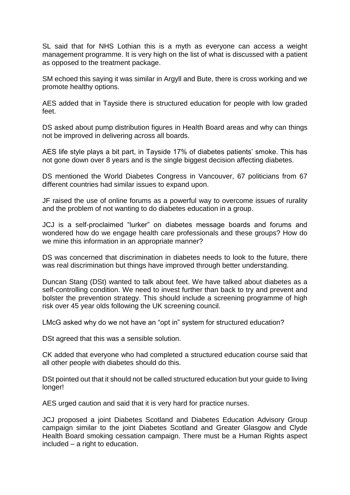SL said that for NHS Lothian this is a myth as everyone can access a weight management programme. It is very high on the list of what is discussed with a patient as opposed to the treatment package.

SM echoed this saying it was similar in Argyll and Bute, there is cross working and we promote healthy options.

AES added that in Tayside there is structured education for people with low graded feet.

DS asked about pump distribution figures in Health Board areas and why can things not be improved in delivering across all boards.

AES life style plays a bit part, in Tayside 17% of diabetes patients' smoke. This has not gone down over 8 years and is the single biggest decision affecting diabetes.

DS mentioned the World Diabetes Congress in Vancouver, 67 politicians from 67 different countries had similar issues to expand upon.

JF raised the use of online forums as a powerful way to overcome issues of rurality and the problem of not wanting to do diabetes education in a group.

JCJ is a self-proclaimed "lurker" on diabetes message boards and forums and wondered how do we engage health care professionals and these groups? How do we mine this information in an appropriate manner?

DS was concerned that discrimination in diabetes needs to look to the future, there was real discrimination but things have improved through better understanding.

Duncan Stang (DSt) wanted to talk about feet. We have talked about diabetes as a self-controlling condition. We need to invest further than back to try and prevent and bolster the prevention strategy. This should include a screening programme of high risk over 45 year olds following the UK screening council.

LMcG asked why do we not have an "opt in" system for structured education?

DSt agreed that this was a sensible solution.

CK added that everyone who had completed a structured education course said that all other people with diabetes should do this.

DSt pointed out that it should not be called structured education but your guide to living longer!

AES urged caution and said that it is very hard for practice nurses.

JCJ proposed a joint Diabetes Scotland and Diabetes Education Advisory Group campaign similar to the joint Diabetes Scotland and Greater Glasgow and Clyde Health Board smoking cessation campaign. There must be a Human Rights aspect included – a right to education.